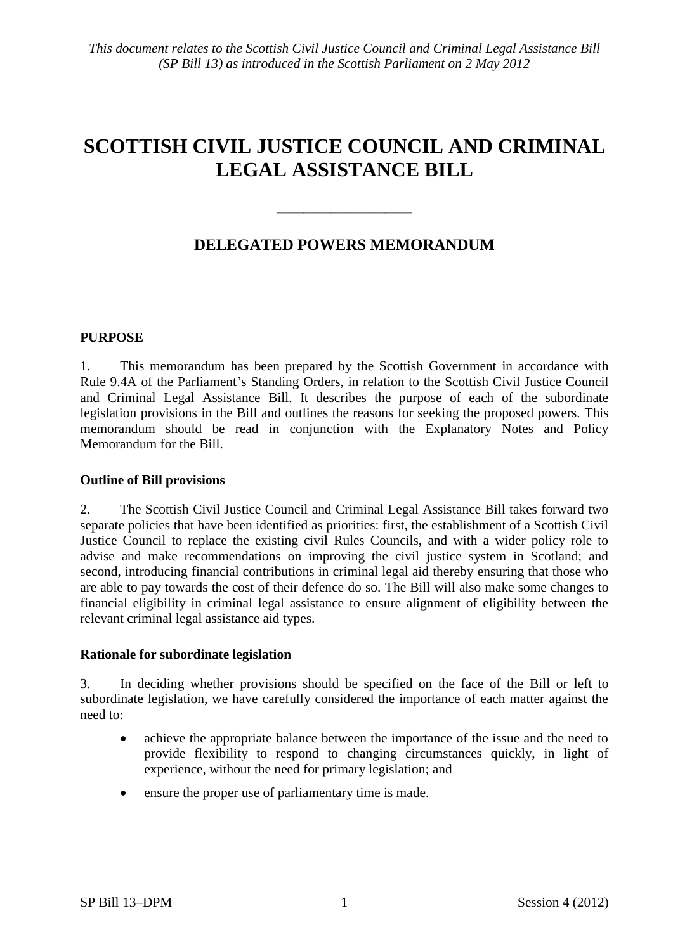# **SCOTTISH CIVIL JUSTICE COUNCIL AND CRIMINAL LEGAL ASSISTANCE BILL**

## **DELEGATED POWERS MEMORANDUM**

 $\frac{1}{\sqrt{2}}$ 

### **PURPOSE**

1. This memorandum has been prepared by the Scottish Government in accordance with Rule 9.4A of the Parliament's Standing Orders, in relation to the Scottish Civil Justice Council and Criminal Legal Assistance Bill. It describes the purpose of each of the subordinate legislation provisions in the Bill and outlines the reasons for seeking the proposed powers. This memorandum should be read in conjunction with the Explanatory Notes and Policy Memorandum for the Bill.

## **Outline of Bill provisions**

2. The Scottish Civil Justice Council and Criminal Legal Assistance Bill takes forward two separate policies that have been identified as priorities: first, the establishment of a Scottish Civil Justice Council to replace the existing civil Rules Councils, and with a wider policy role to advise and make recommendations on improving the civil justice system in Scotland; and second, introducing financial contributions in criminal legal aid thereby ensuring that those who are able to pay towards the cost of their defence do so. The Bill will also make some changes to financial eligibility in criminal legal assistance to ensure alignment of eligibility between the relevant criminal legal assistance aid types.

#### **Rationale for subordinate legislation**

3. In deciding whether provisions should be specified on the face of the Bill or left to subordinate legislation, we have carefully considered the importance of each matter against the need to:

- achieve the appropriate balance between the importance of the issue and the need to provide flexibility to respond to changing circumstances quickly, in light of experience, without the need for primary legislation; and
- ensure the proper use of parliamentary time is made.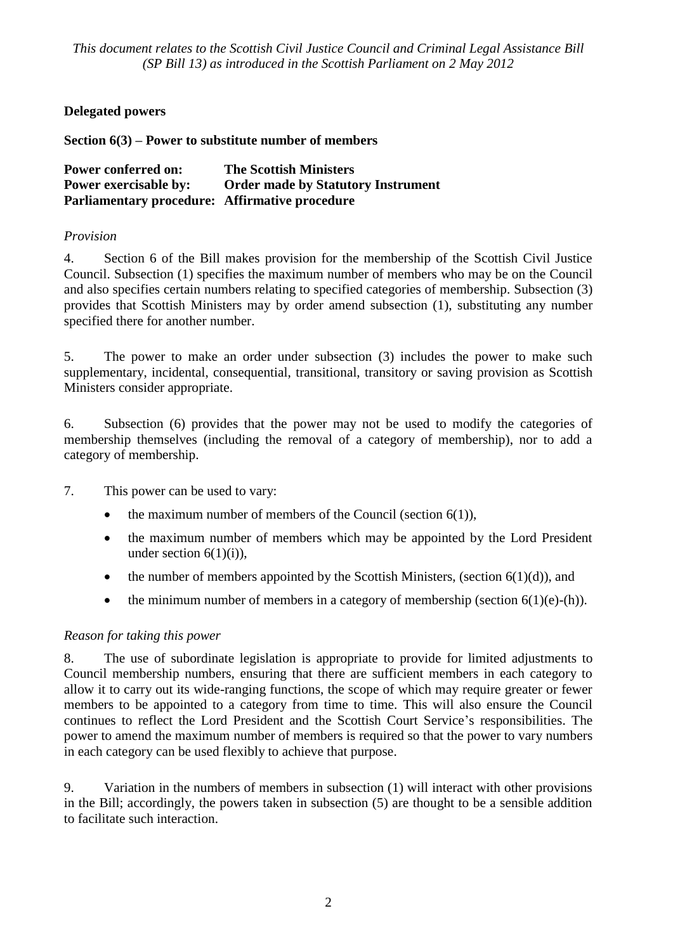## **Delegated powers**

**Section 6(3) – Power to substitute number of members** 

| <b>Power conferred on:</b>                     | <b>The Scottish Ministers</b>             |
|------------------------------------------------|-------------------------------------------|
| <b>Power exercisable by:</b>                   | <b>Order made by Statutory Instrument</b> |
| Parliamentary procedure: Affirmative procedure |                                           |

## *Provision*

4. Section 6 of the Bill makes provision for the membership of the Scottish Civil Justice Council. Subsection (1) specifies the maximum number of members who may be on the Council and also specifies certain numbers relating to specified categories of membership. Subsection (3) provides that Scottish Ministers may by order amend subsection (1), substituting any number specified there for another number.

5. The power to make an order under subsection (3) includes the power to make such supplementary, incidental, consequential, transitional, transitory or saving provision as Scottish Ministers consider appropriate.

6. Subsection (6) provides that the power may not be used to modify the categories of membership themselves (including the removal of a category of membership), nor to add a category of membership.

7. This power can be used to vary:

- the maximum number of members of the Council (section 6(1)),
- the maximum number of members which may be appointed by the Lord President under section  $6(1)(i)$ ),
- the number of members appointed by the Scottish Ministers, (section  $6(1)(d)$ ), and
- the minimum number of members in a category of membership (section  $6(1)(e)$ -(h)).

## *Reason for taking this power*

8. The use of subordinate legislation is appropriate to provide for limited adjustments to Council membership numbers, ensuring that there are sufficient members in each category to allow it to carry out its wide-ranging functions, the scope of which may require greater or fewer members to be appointed to a category from time to time. This will also ensure the Council continues to reflect the Lord President and the Scottish Court Service's responsibilities. The power to amend the maximum number of members is required so that the power to vary numbers in each category can be used flexibly to achieve that purpose.

9. Variation in the numbers of members in subsection (1) will interact with other provisions in the Bill; accordingly, the powers taken in subsection (5) are thought to be a sensible addition to facilitate such interaction.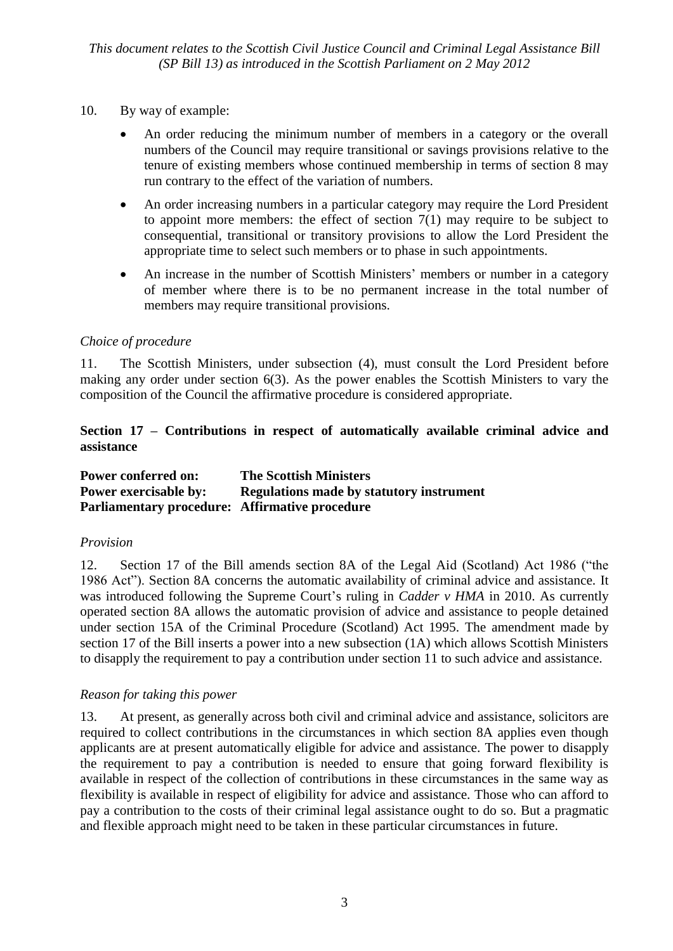- 10. By way of example:
	- An order reducing the minimum number of members in a category or the overall numbers of the Council may require transitional or savings provisions relative to the tenure of existing members whose continued membership in terms of section 8 may run contrary to the effect of the variation of numbers.
	- An order increasing numbers in a particular category may require the Lord President to appoint more members: the effect of section  $7(1)$  may require to be subject to consequential, transitional or transitory provisions to allow the Lord President the appropriate time to select such members or to phase in such appointments.
	- An increase in the number of Scottish Ministers' members or number in a category of member where there is to be no permanent increase in the total number of members may require transitional provisions.

### *Choice of procedure*

11. The Scottish Ministers, under subsection (4), must consult the Lord President before making any order under section 6(3). As the power enables the Scottish Ministers to vary the composition of the Council the affirmative procedure is considered appropriate.

## **Section 17 – Contributions in respect of automatically available criminal advice and assistance**

| <b>Power conferred on:</b>                            | <b>The Scottish Ministers</b>                   |
|-------------------------------------------------------|-------------------------------------------------|
| <b>Power exercisable by:</b>                          | <b>Regulations made by statutory instrument</b> |
| <b>Parliamentary procedure:</b> Affirmative procedure |                                                 |

#### *Provision*

12. Section 17 of the Bill amends section 8A of the Legal Aid (Scotland) Act 1986 ("the 1986 Act"). Section 8A concerns the automatic availability of criminal advice and assistance. It was introduced following the Supreme Court's ruling in *Cadder v HMA* in 2010. As currently operated section 8A allows the automatic provision of advice and assistance to people detained under section 15A of the Criminal Procedure (Scotland) Act 1995. The amendment made by section 17 of the Bill inserts a power into a new subsection (1A) which allows Scottish Ministers to disapply the requirement to pay a contribution under section 11 to such advice and assistance.

## *Reason for taking this power*

13. At present, as generally across both civil and criminal advice and assistance, solicitors are required to collect contributions in the circumstances in which section 8A applies even though applicants are at present automatically eligible for advice and assistance. The power to disapply the requirement to pay a contribution is needed to ensure that going forward flexibility is available in respect of the collection of contributions in these circumstances in the same way as flexibility is available in respect of eligibility for advice and assistance. Those who can afford to pay a contribution to the costs of their criminal legal assistance ought to do so. But a pragmatic and flexible approach might need to be taken in these particular circumstances in future.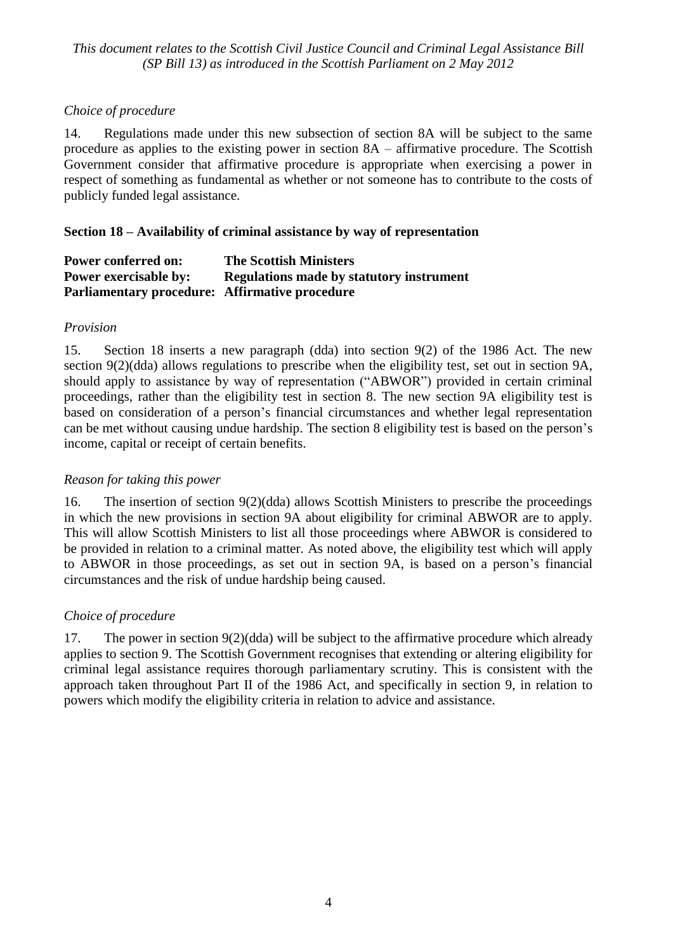## *Choice of procedure*

14. Regulations made under this new subsection of section 8A will be subject to the same procedure as applies to the existing power in section 8A – affirmative procedure. The Scottish Government consider that affirmative procedure is appropriate when exercising a power in respect of something as fundamental as whether or not someone has to contribute to the costs of publicly funded legal assistance.

## **Section 18 – Availability of criminal assistance by way of representation**

| <b>Power conferred on:</b>                            | <b>The Scottish Ministers</b>                   |
|-------------------------------------------------------|-------------------------------------------------|
| <b>Power exercisable by:</b>                          | <b>Regulations made by statutory instrument</b> |
| <b>Parliamentary procedure:</b> Affirmative procedure |                                                 |

### *Provision*

15. Section 18 inserts a new paragraph (dda) into section 9(2) of the 1986 Act. The new section 9(2)(dda) allows regulations to prescribe when the eligibility test, set out in section 9A, should apply to assistance by way of representation ("ABWOR") provided in certain criminal proceedings, rather than the eligibility test in section 8. The new section 9A eligibility test is based on consideration of a person's financial circumstances and whether legal representation can be met without causing undue hardship. The section 8 eligibility test is based on the person's income, capital or receipt of certain benefits.

## *Reason for taking this power*

16. The insertion of section 9(2)(dda) allows Scottish Ministers to prescribe the proceedings in which the new provisions in section 9A about eligibility for criminal ABWOR are to apply. This will allow Scottish Ministers to list all those proceedings where ABWOR is considered to be provided in relation to a criminal matter. As noted above, the eligibility test which will apply to ABWOR in those proceedings, as set out in section 9A, is based on a person's financial circumstances and the risk of undue hardship being caused.

## *Choice of procedure*

17. The power in section 9(2)(dda) will be subject to the affirmative procedure which already applies to section 9. The Scottish Government recognises that extending or altering eligibility for criminal legal assistance requires thorough parliamentary scrutiny. This is consistent with the approach taken throughout Part II of the 1986 Act, and specifically in section 9, in relation to powers which modify the eligibility criteria in relation to advice and assistance.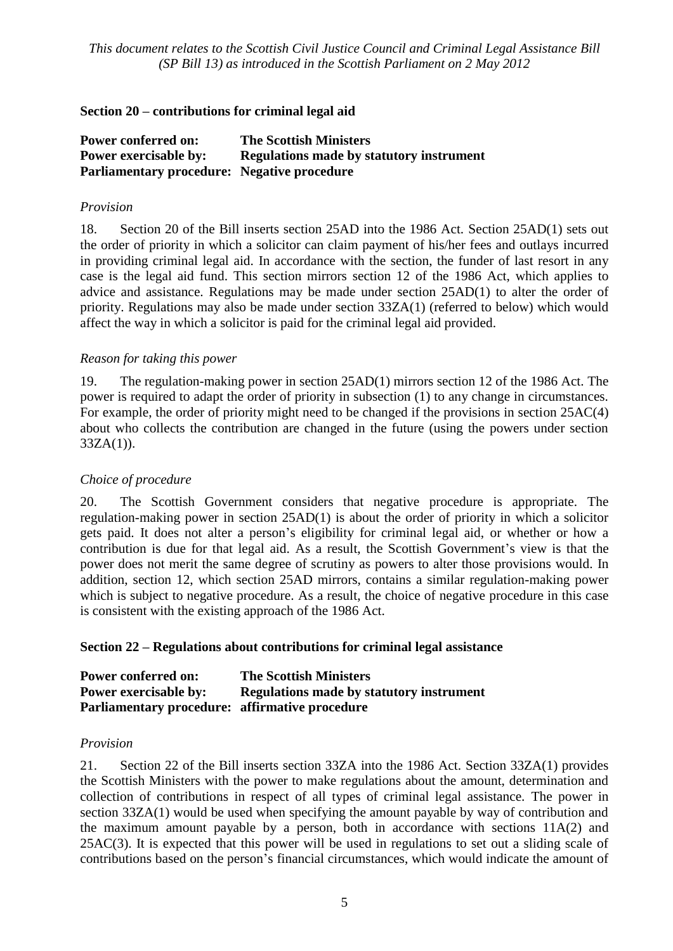## **Section 20 – contributions for criminal legal aid**

| <b>Power conferred on:</b>                         | <b>The Scottish Ministers</b>                   |
|----------------------------------------------------|-------------------------------------------------|
| <b>Power exercisable by:</b>                       | <b>Regulations made by statutory instrument</b> |
| <b>Parliamentary procedure:</b> Negative procedure |                                                 |

#### *Provision*

18. Section 20 of the Bill inserts section 25AD into the 1986 Act. Section 25AD(1) sets out the order of priority in which a solicitor can claim payment of his/her fees and outlays incurred in providing criminal legal aid. In accordance with the section, the funder of last resort in any case is the legal aid fund. This section mirrors section 12 of the 1986 Act, which applies to advice and assistance. Regulations may be made under section 25AD(1) to alter the order of priority. Regulations may also be made under section 33ZA(1) (referred to below) which would affect the way in which a solicitor is paid for the criminal legal aid provided.

### *Reason for taking this power*

19. The regulation-making power in section 25AD(1) mirrors section 12 of the 1986 Act. The power is required to adapt the order of priority in subsection (1) to any change in circumstances. For example, the order of priority might need to be changed if the provisions in section 25AC(4) about who collects the contribution are changed in the future (using the powers under section  $33ZA(1)$ ).

## *Choice of procedure*

20. The Scottish Government considers that negative procedure is appropriate. The regulation-making power in section 25AD(1) is about the order of priority in which a solicitor gets paid. It does not alter a person's eligibility for criminal legal aid, or whether or how a contribution is due for that legal aid. As a result, the Scottish Government's view is that the power does not merit the same degree of scrutiny as powers to alter those provisions would. In addition, section 12, which section 25AD mirrors, contains a similar regulation-making power which is subject to negative procedure. As a result, the choice of negative procedure in this case is consistent with the existing approach of the 1986 Act.

#### **Section 22 – Regulations about contributions for criminal legal assistance**

| <b>Power conferred on:</b>                     | <b>The Scottish Ministers</b>                   |
|------------------------------------------------|-------------------------------------------------|
| <b>Power exercisable by:</b>                   | <b>Regulations made by statutory instrument</b> |
| Parliamentary procedure: affirmative procedure |                                                 |

#### *Provision*

21. Section 22 of the Bill inserts section 33ZA into the 1986 Act. Section 33ZA(1) provides the Scottish Ministers with the power to make regulations about the amount, determination and collection of contributions in respect of all types of criminal legal assistance. The power in section 33ZA(1) would be used when specifying the amount payable by way of contribution and the maximum amount payable by a person, both in accordance with sections 11A(2) and 25AC(3). It is expected that this power will be used in regulations to set out a sliding scale of contributions based on the person's financial circumstances, which would indicate the amount of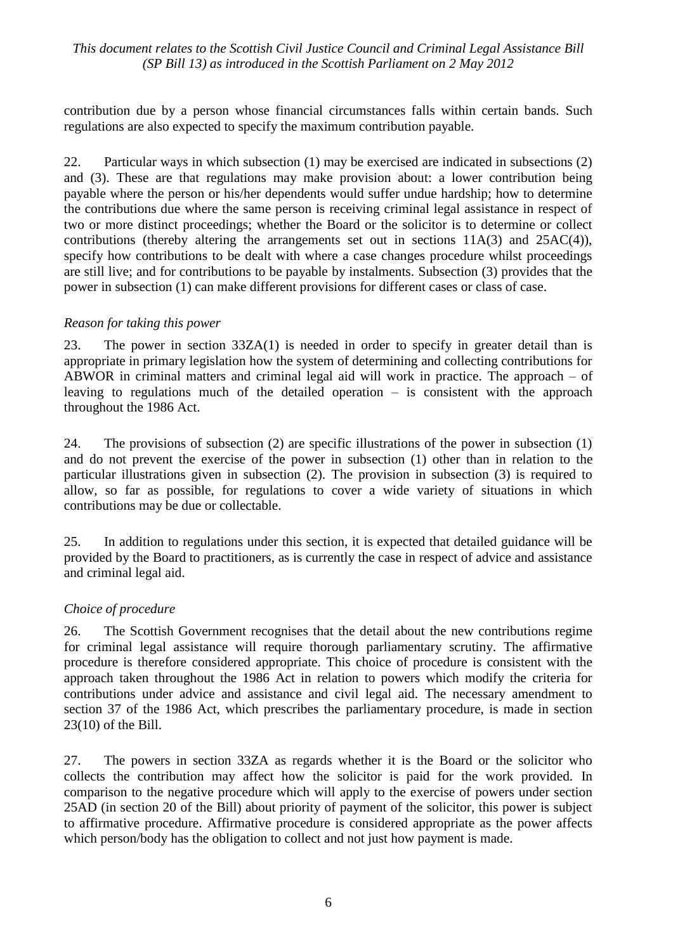contribution due by a person whose financial circumstances falls within certain bands. Such regulations are also expected to specify the maximum contribution payable.

22. Particular ways in which subsection (1) may be exercised are indicated in subsections (2) and (3). These are that regulations may make provision about: a lower contribution being payable where the person or his/her dependents would suffer undue hardship; how to determine the contributions due where the same person is receiving criminal legal assistance in respect of two or more distinct proceedings; whether the Board or the solicitor is to determine or collect contributions (thereby altering the arrangements set out in sections  $11A(3)$  and  $25AC(4)$ ), specify how contributions to be dealt with where a case changes procedure whilst proceedings are still live; and for contributions to be payable by instalments. Subsection (3) provides that the power in subsection (1) can make different provisions for different cases or class of case.

### *Reason for taking this power*

23. The power in section 33ZA(1) is needed in order to specify in greater detail than is appropriate in primary legislation how the system of determining and collecting contributions for ABWOR in criminal matters and criminal legal aid will work in practice. The approach – of leaving to regulations much of the detailed operation  $-$  is consistent with the approach throughout the 1986 Act.

24. The provisions of subsection (2) are specific illustrations of the power in subsection (1) and do not prevent the exercise of the power in subsection (1) other than in relation to the particular illustrations given in subsection (2). The provision in subsection (3) is required to allow, so far as possible, for regulations to cover a wide variety of situations in which contributions may be due or collectable.

25. In addition to regulations under this section, it is expected that detailed guidance will be provided by the Board to practitioners, as is currently the case in respect of advice and assistance and criminal legal aid.

## *Choice of procedure*

26. The Scottish Government recognises that the detail about the new contributions regime for criminal legal assistance will require thorough parliamentary scrutiny. The affirmative procedure is therefore considered appropriate. This choice of procedure is consistent with the approach taken throughout the 1986 Act in relation to powers which modify the criteria for contributions under advice and assistance and civil legal aid. The necessary amendment to section 37 of the 1986 Act, which prescribes the parliamentary procedure, is made in section 23(10) of the Bill.

27. The powers in section 33ZA as regards whether it is the Board or the solicitor who collects the contribution may affect how the solicitor is paid for the work provided. In comparison to the negative procedure which will apply to the exercise of powers under section 25AD (in section 20 of the Bill) about priority of payment of the solicitor, this power is subject to affirmative procedure. Affirmative procedure is considered appropriate as the power affects which person/body has the obligation to collect and not just how payment is made.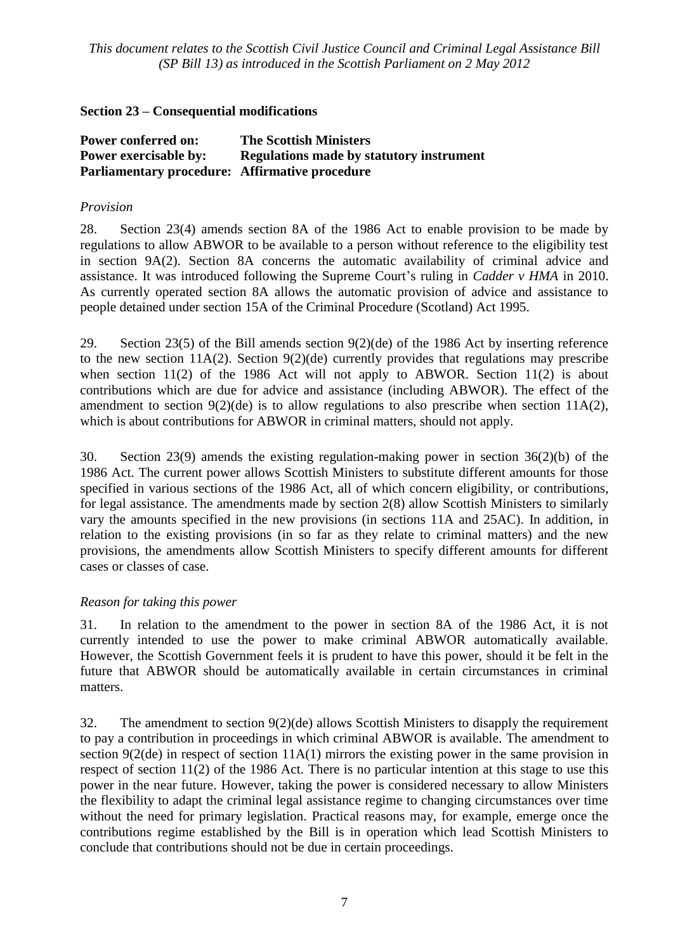## **Section 23 – Consequential modifications**

| <b>Power conferred on:</b>                            | <b>The Scottish Ministers</b>                   |
|-------------------------------------------------------|-------------------------------------------------|
| <b>Power exercisable by:</b>                          | <b>Regulations made by statutory instrument</b> |
| <b>Parliamentary procedure:</b> Affirmative procedure |                                                 |

### *Provision*

28. Section 23(4) amends section 8A of the 1986 Act to enable provision to be made by regulations to allow ABWOR to be available to a person without reference to the eligibility test in section 9A(2). Section 8A concerns the automatic availability of criminal advice and assistance. It was introduced following the Supreme Court's ruling in *Cadder v HMA* in 2010. As currently operated section 8A allows the automatic provision of advice and assistance to people detained under section 15A of the Criminal Procedure (Scotland) Act 1995.

29. Section 23(5) of the Bill amends section 9(2)(de) of the 1986 Act by inserting reference to the new section 11A(2). Section  $9(2)(de)$  currently provides that regulations may prescribe when section 11(2) of the 1986 Act will not apply to ABWOR. Section 11(2) is about contributions which are due for advice and assistance (including ABWOR). The effect of the amendment to section  $9(2)(de)$  is to allow regulations to also prescribe when section  $11A(2)$ , which is about contributions for ABWOR in criminal matters, should not apply.

30. Section 23(9) amends the existing regulation-making power in section 36(2)(b) of the 1986 Act. The current power allows Scottish Ministers to substitute different amounts for those specified in various sections of the 1986 Act, all of which concern eligibility, or contributions, for legal assistance. The amendments made by section 2(8) allow Scottish Ministers to similarly vary the amounts specified in the new provisions (in sections 11A and 25AC). In addition, in relation to the existing provisions (in so far as they relate to criminal matters) and the new provisions, the amendments allow Scottish Ministers to specify different amounts for different cases or classes of case.

## *Reason for taking this power*

31. In relation to the amendment to the power in section 8A of the 1986 Act, it is not currently intended to use the power to make criminal ABWOR automatically available. However, the Scottish Government feels it is prudent to have this power, should it be felt in the future that ABWOR should be automatically available in certain circumstances in criminal matters.

32. The amendment to section 9(2)(de) allows Scottish Ministers to disapply the requirement to pay a contribution in proceedings in which criminal ABWOR is available. The amendment to section 9(2(de) in respect of section 11A(1) mirrors the existing power in the same provision in respect of section 11(2) of the 1986 Act. There is no particular intention at this stage to use this power in the near future. However, taking the power is considered necessary to allow Ministers the flexibility to adapt the criminal legal assistance regime to changing circumstances over time without the need for primary legislation. Practical reasons may, for example, emerge once the contributions regime established by the Bill is in operation which lead Scottish Ministers to conclude that contributions should not be due in certain proceedings.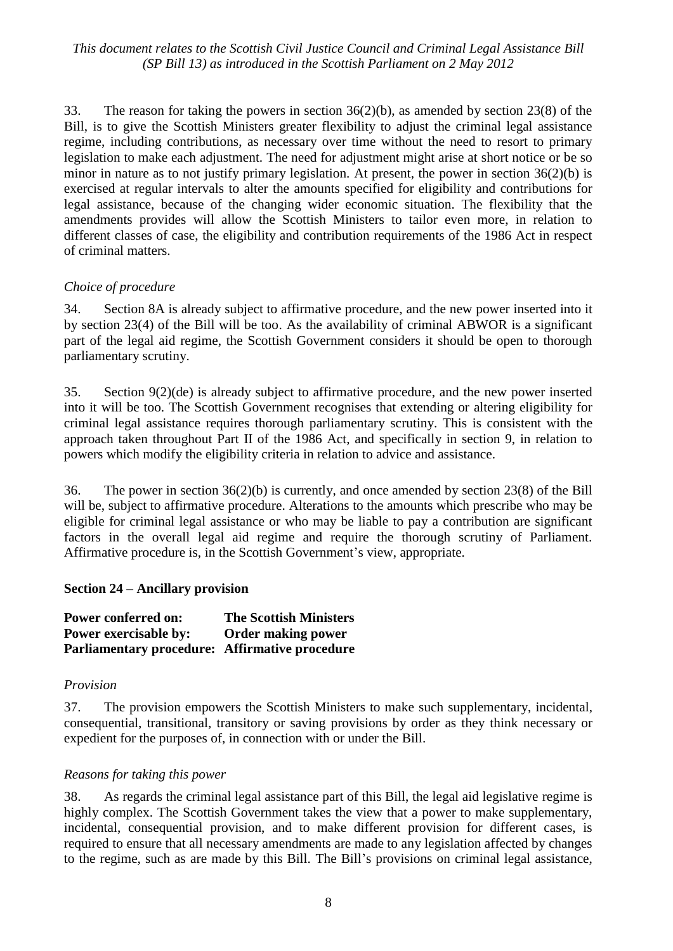33. The reason for taking the powers in section 36(2)(b), as amended by section 23(8) of the Bill, is to give the Scottish Ministers greater flexibility to adjust the criminal legal assistance regime, including contributions, as necessary over time without the need to resort to primary legislation to make each adjustment. The need for adjustment might arise at short notice or be so minor in nature as to not justify primary legislation. At present, the power in section 36(2)(b) is exercised at regular intervals to alter the amounts specified for eligibility and contributions for legal assistance, because of the changing wider economic situation. The flexibility that the amendments provides will allow the Scottish Ministers to tailor even more, in relation to different classes of case, the eligibility and contribution requirements of the 1986 Act in respect of criminal matters.

### *Choice of procedure*

34. Section 8A is already subject to affirmative procedure, and the new power inserted into it by section 23(4) of the Bill will be too. As the availability of criminal ABWOR is a significant part of the legal aid regime, the Scottish Government considers it should be open to thorough parliamentary scrutiny.

35. Section 9(2)(de) is already subject to affirmative procedure, and the new power inserted into it will be too. The Scottish Government recognises that extending or altering eligibility for criminal legal assistance requires thorough parliamentary scrutiny. This is consistent with the approach taken throughout Part II of the 1986 Act, and specifically in section 9, in relation to powers which modify the eligibility criteria in relation to advice and assistance.

36. The power in section 36(2)(b) is currently, and once amended by section 23(8) of the Bill will be, subject to affirmative procedure. Alterations to the amounts which prescribe who may be eligible for criminal legal assistance or who may be liable to pay a contribution are significant factors in the overall legal aid regime and require the thorough scrutiny of Parliament. Affirmative procedure is, in the Scottish Government's view, appropriate.

#### **Section 24 – Ancillary provision**

**Power conferred on: The Scottish Ministers Power exercisable by: Order making power Parliamentary procedure: Affirmative procedure**

#### *Provision*

37. The provision empowers the Scottish Ministers to make such supplementary, incidental, consequential, transitional, transitory or saving provisions by order as they think necessary or expedient for the purposes of, in connection with or under the Bill.

#### *Reasons for taking this power*

38. As regards the criminal legal assistance part of this Bill, the legal aid legislative regime is highly complex. The Scottish Government takes the view that a power to make supplementary, incidental, consequential provision, and to make different provision for different cases, is required to ensure that all necessary amendments are made to any legislation affected by changes to the regime, such as are made by this Bill. The Bill's provisions on criminal legal assistance,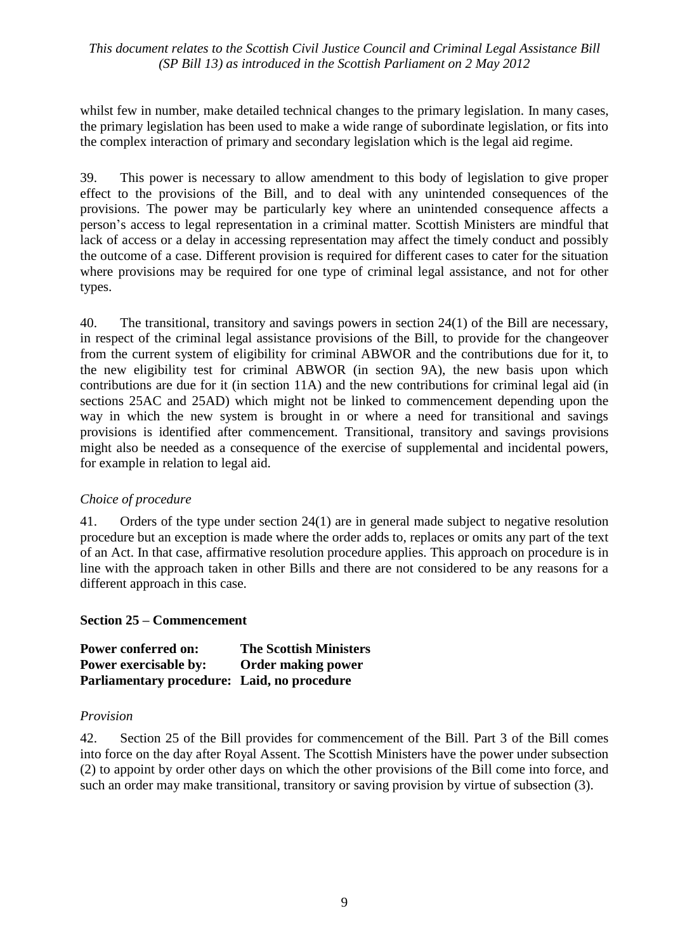whilst few in number, make detailed technical changes to the primary legislation. In many cases, the primary legislation has been used to make a wide range of subordinate legislation, or fits into the complex interaction of primary and secondary legislation which is the legal aid regime.

39. This power is necessary to allow amendment to this body of legislation to give proper effect to the provisions of the Bill, and to deal with any unintended consequences of the provisions. The power may be particularly key where an unintended consequence affects a person's access to legal representation in a criminal matter. Scottish Ministers are mindful that lack of access or a delay in accessing representation may affect the timely conduct and possibly the outcome of a case. Different provision is required for different cases to cater for the situation where provisions may be required for one type of criminal legal assistance, and not for other types.

40. The transitional, transitory and savings powers in section 24(1) of the Bill are necessary, in respect of the criminal legal assistance provisions of the Bill, to provide for the changeover from the current system of eligibility for criminal ABWOR and the contributions due for it, to the new eligibility test for criminal ABWOR (in section 9A), the new basis upon which contributions are due for it (in section 11A) and the new contributions for criminal legal aid (in sections 25AC and 25AD) which might not be linked to commencement depending upon the way in which the new system is brought in or where a need for transitional and savings provisions is identified after commencement. Transitional, transitory and savings provisions might also be needed as a consequence of the exercise of supplemental and incidental powers, for example in relation to legal aid.

## *Choice of procedure*

41. Orders of the type under section 24(1) are in general made subject to negative resolution procedure but an exception is made where the order adds to, replaces or omits any part of the text of an Act. In that case, affirmative resolution procedure applies. This approach on procedure is in line with the approach taken in other Bills and there are not considered to be any reasons for a different approach in this case.

#### **Section 25 – Commencement**

| <b>Power conferred on:</b>                  | <b>The Scottish Ministers</b> |
|---------------------------------------------|-------------------------------|
| <b>Power exercisable by:</b>                | <b>Order making power</b>     |
| Parliamentary procedure: Laid, no procedure |                               |

#### *Provision*

42. Section 25 of the Bill provides for commencement of the Bill. Part 3 of the Bill comes into force on the day after Royal Assent. The Scottish Ministers have the power under subsection (2) to appoint by order other days on which the other provisions of the Bill come into force, and such an order may make transitional, transitory or saving provision by virtue of subsection (3).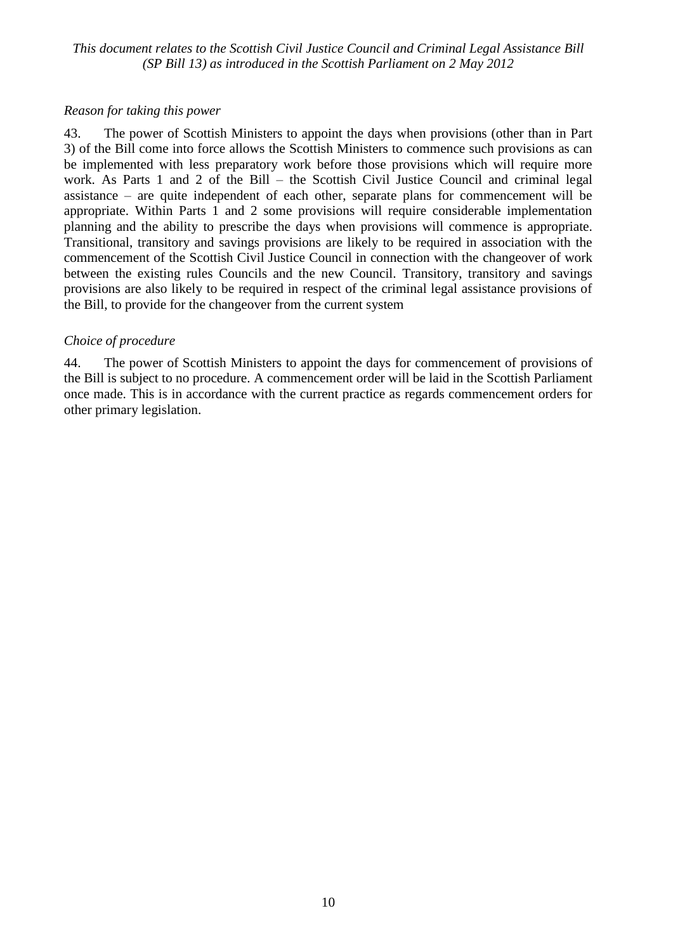#### *Reason for taking this power*

43. The power of Scottish Ministers to appoint the days when provisions (other than in Part 3) of the Bill come into force allows the Scottish Ministers to commence such provisions as can be implemented with less preparatory work before those provisions which will require more work. As Parts 1 and 2 of the Bill – the Scottish Civil Justice Council and criminal legal assistance – are quite independent of each other, separate plans for commencement will be appropriate. Within Parts 1 and 2 some provisions will require considerable implementation planning and the ability to prescribe the days when provisions will commence is appropriate. Transitional, transitory and savings provisions are likely to be required in association with the commencement of the Scottish Civil Justice Council in connection with the changeover of work between the existing rules Councils and the new Council. Transitory, transitory and savings provisions are also likely to be required in respect of the criminal legal assistance provisions of the Bill, to provide for the changeover from the current system

### *Choice of procedure*

44. The power of Scottish Ministers to appoint the days for commencement of provisions of the Bill is subject to no procedure. A commencement order will be laid in the Scottish Parliament once made. This is in accordance with the current practice as regards commencement orders for other primary legislation.